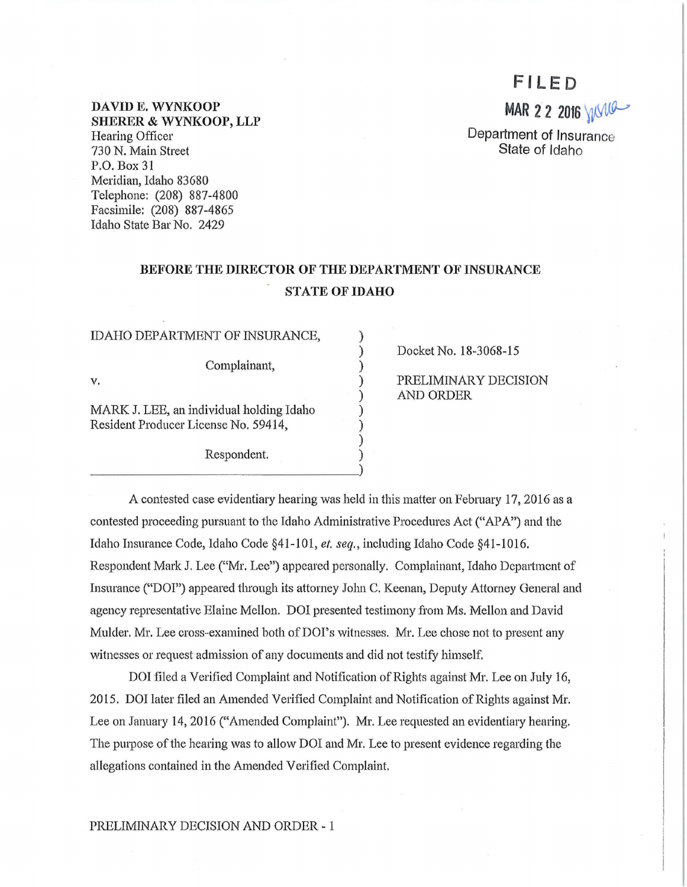# **Fl LED**

MAR 2 2 2016 WVW

Department of Insurance State of Idaho

DAVIDE. WYNKOOP SHERER & WYNKOOP, LLP Hearing Officer 730 N. Main Street P.O. Box 31 Meridian, Idaho 83680 Telephone: (208) 887-4800 Facsimile: (208) 887-4865 Idaho State Bar No. 2429

## BEFORE THE DIRECTOR OF THE DEPARTMENT OF INSURANCE STATE OF IDAHO

) ) ) ) ) ) ) ) )

IDAHO DEPARTMENT OF INSURANCE,

Complainant,

v.

MARK J. LEE, an individual holding Idaho Resident Producer License No. 59414,

Respondent. ~~~~~~~~~ ~~~~~~-) Docket No. 18-3068-15

PRELIMINARY DECISION AND ORDER

A contested case evidentiary hearing was held in this matter on February 17, 2016 as a contested proceeding pursuant to the Idaho Administrative Procedures Act ("APA") and the Idaho Insmance Code, Idaho Code §41-101, *et. seq.,* including Idaho Code §41-1016. Respondent Mark J. Lee ("Mr. Lee") appeared personally. Complainant, Idaho Department of Insurance ("DOI") appeared through its attorney John C. Keenan, Deputy Attorney General and agency representative Elaine Mellon. DOI presented testimony from Ms. Mellon and David Mulder. Mr. Lee cross-examined both of DOI's witnesses. Mr. Lee chose not to present any witnesses or request admission of any documents and did not testify himself.

DOI filed a Verified Complaint and Notification of Rights against Mr. Lee on July 16, 2015. DOI later filed an Amended Verified Complaint and Notification of Rights against Mr. Lee on January 14, 2016 ("Amended Complaint"). Mr. Lee requested an evidentiary hearing. The purpose of the hearing was to allow DOI and Mr. Lee to present evidence regarding the allegations contained in the Amended Verified Complaint.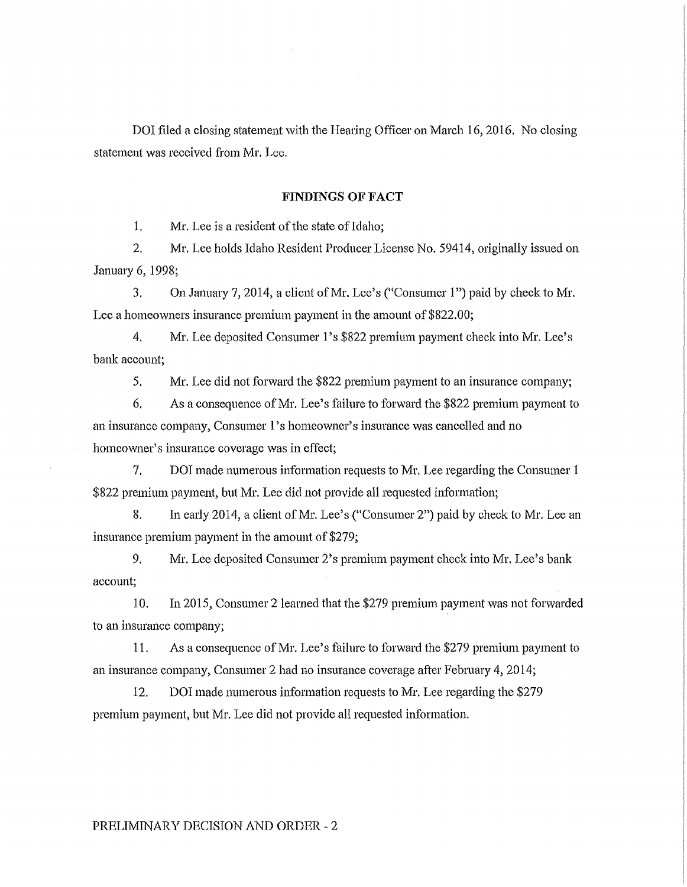DOI filed a closing statement with the Hearing Officer on March 16, 2016. No closing statement was received from Mr. Lee.

#### **FINDINGS OF FACT**

1. Mr. Lee is a resident of the state of Idaho;

2. Mr. Lee holds Idaho Resident Producer License No. 59414, originally issued on January 6, 1998;

3. On January 7, 2014, a client of Mr. Lee's ("Consumer **l** ")paid by check *to* Mr. Lee a homeowners insurance premium payment in the amount of \$822.00;

4. Mr. Lee deposited Consumer l's \$822 premium payment check into Mr. Lee's bank account;

5. Mr. Lee did not forward the \$822 premium payment to an insurance company;

6, As a consequence of Mr. Lee's failure to forward the \$822 premium payment to an insurance company, Consumer l's homeowner's insurance was cancelled and no homeowner's insurance coverage was in effect;

7. DOI made numerous information requests to Mr. Lee regarding the Consumer 1 \$822 premium payment, but Mr. Lee did not provide all requested information;

8. In early 2014, a client of Mr. Lee's ("Consumer 2") paid by check to Mr. Lee an insurance premium payment in the amount of \$279;

9. Mr. Lee deposited Consumer 2's premium payment check into Mr. Lee's bank account;

10. In 2015, Consumer 2 learned that the \$279 premium payment was not forwarded to an insurance company;

11. As a consequence of Mr. Lee's failure to forward the \$279 premium payment to an insurance company, Consumer 2 had no insurance coverage after February 4, 2014;

12. DOI made numerous information requests to Mr. Lee regarding the \$279 premium payment, but Mr. Lee did not provide all requested information.

#### PRELIMINARY DECISION AND ORDER - 2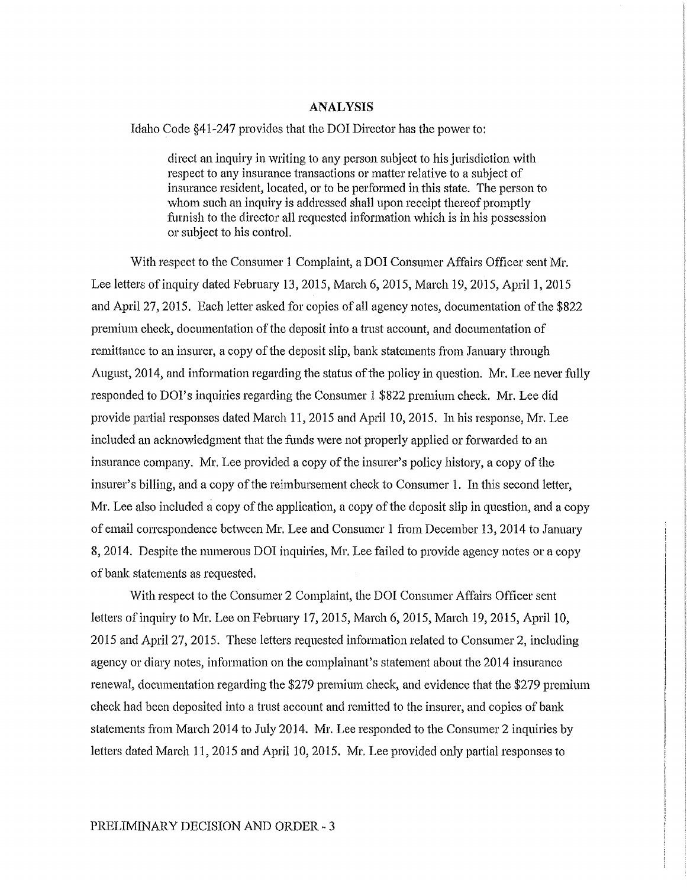#### ANALYSIS

Idaho Code §41-247 provides that the DOI Director has the power to:

direct an inquiry in writing to any person subject to his jurisdiction with respect to any insurance transactions or matter relative to a subject of insurance resident, located, or to be performed in this state. The person to whom such an inquiry is addressed shall upon receipt thereof promptly furnish to the director all requested information which is in his possession or subject to his control.

With respect to the Consumer 1 Complaint, a DOI Consumer Affairs Officer sent Mr. Lee letters of inquiry dated February 13, 2015, March 6, 2015, March 19, 2015, April 1, 2015 and April 27, 2015. Each letter asked for copies of all agency notes, documentation of the \$822 premium check, documentation of the deposit into a trust account, and documentation of remittance to an insurer, a copy of the deposit slip, bank statements from January through August, 2014, and information regarding the status of the policy in question. Mr. Lee never fully responded to DOI's inquiries regarding the Consumer 1 \$822 premium check. Mr. Lee did provide partial responses dated March 11, 2015 and April 10, 2015. In his response, Mr. Lee included an acknowledgment that the funds were not properly applied or forwarded to an insurance company. Mr. Lee provided a copy of the insurer's policy history, a copy of the insurer's billing, and a copy of the reimbursement check to Consumer 1. In this second letter, Mr. Lee also included a copy of the application, a copy of the deposit slip in question, and a copy of email correspondence bet\veen Mr. Lee and Consumer 1 from December 13, 2014 to January 8, 2014. Despite the numerous DOI inquiries, Mr. Lee failed to provide agency notes or a copy of bank statements as requested.

With respect to the Consumer 2 Complaint, the DOI Consumer Affairs Officer sent letters of inquiry to Mr. Lee on February 17, 2015, March 6, 2015, March 19, 2015, April 10, 2015 and April 27, 2015. These letters requested information related to Consumer 2, including agency or diary notes, information on the complainant's statement about the 2014 insurance renewal, documentation regarding the \$279 premium check, and evidence that the \$279 premium check had been deposited into a trust account and remitted to the insurer, and copies of bank statements from March 2014 to July 2014. Mr. Lee responded to the Consumer 2 inquiries by letters dated March 11, 2015 and April 10, 2015. Mr. Lee provided only partial responses to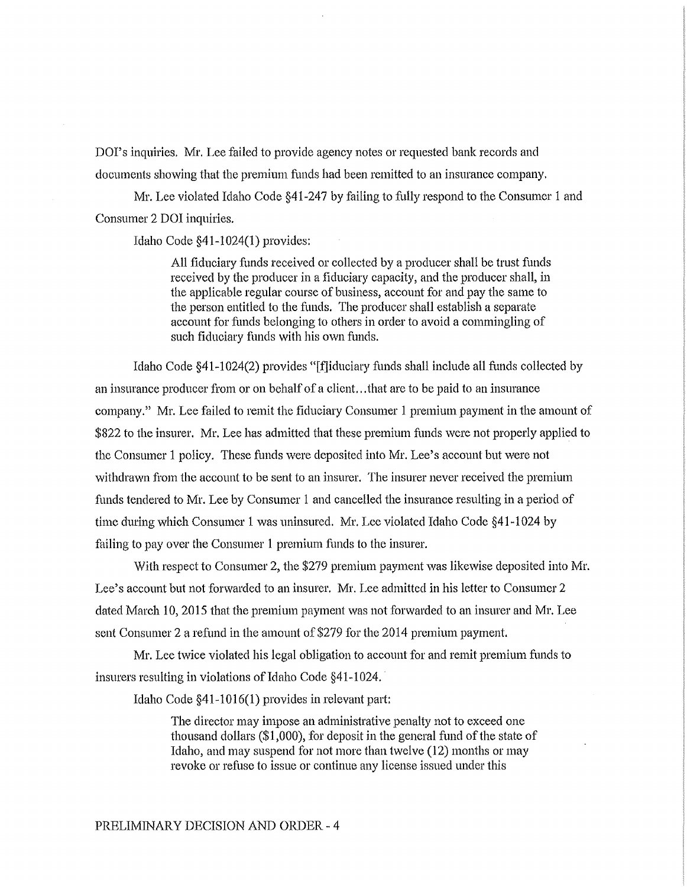DOI's inquiries. Mr. Lee failed to provide agency notes or requested bank records and documents showing that the premium funds had been remitted to an insurance company.

Mr. Lee violated Idaho Code §41-247 by failing to fully respond to the Consumer 1 and Consumer 2 DOI inquiries.

Idaho Code §41-1024(1) provides:

All fiduciary funds received or collected by a producer shall be trust funds received by the producer in a fiduciary capacity, and the producer shall, in the applicable regular course of business, account for and pay the same to the person entitled to the funds. The producer shall establish a separate account for funds belonging to others in order to avoid a commingling of such fiduciary funds with his own funds.

Idaho Code §41-1024(2) provides "[fliduciary funds shall include all funds collected by an insurance producer from or on behalf of a client. .. that are to be paid to an insurance company." Mr. Lee failed to remit the fiduciary Consumer 1 premium payment in the amount of \$822 to the insurer. Mr. Lee has admitted that these premium funds were not properly applied to the Consumer 1 policy. These funds were deposited into Mr. Lee's account but were not withdrawn from the account to be sent to an insurer. The insurer never received the premium funds tendered to Mr. Lee by Consumer 1 and cancelled the insurance resulting in a period of time during which Consumer 1 was uninsured. Mr. Lee violated Idaho Code §41-1024 by failing to pay over the Consumer 1 premium funds to the insurer.

With respect to Consumer 2, the \$279 premium payment was likewise deposited into Mr. Lee's account but not forwarded to an insurer. Mr. Lee admitted in his letter to Consumer 2 dated March 10, 2015 that the premium payment was not forwarded to an insurer and Mr. Lee sent Consumer 2 a refund in the amount of \$279 for the 2014 premium payment.

Mr. Lee twice violated his legal obligation to account for and remit premium funds to insurers resulting in violations of Idaho Code §41-1024.

Idaho Code §41-1016(1) provides in relevant part:

The director may impose an administrative penalty not to exceed one thousand dollars (\$1,000), for deposit in the general fund of the state of Idaho, and may suspend for not more than twelve (12) months or may revoke or refuse to issue or continue any license issued under this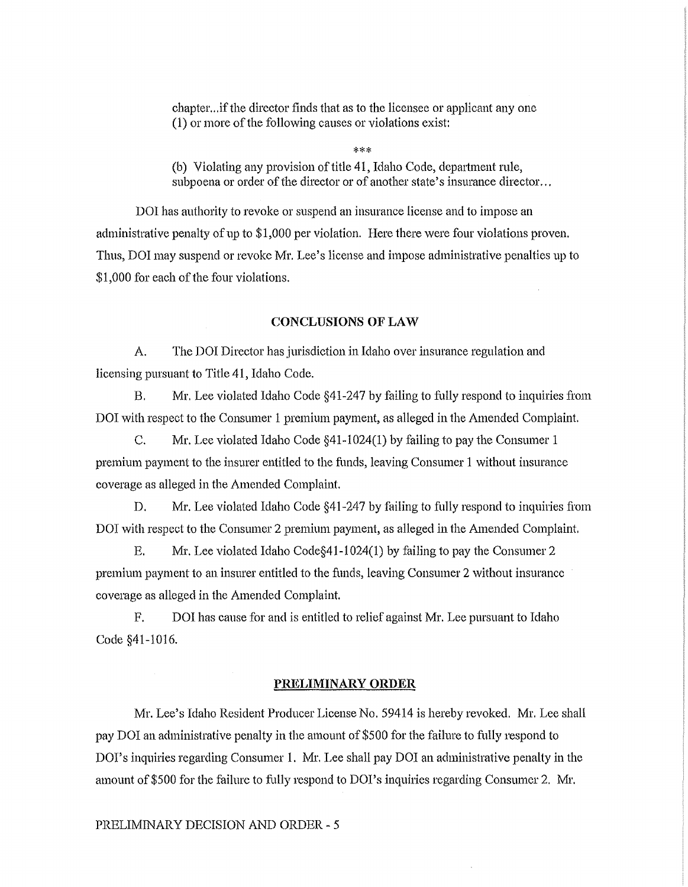chapter... if the director finds that as to the licensee or applicant any one (1) or more of the following causes or violations exist:

\*\*\*

(b) Violating any provision of title 41, Idaho Code, department rule, subpoena or order of the director or of another state's insurance director...

DOI has authority to revoke or suspend an insurance license and to impose an administrative penalty of up to \$1,000 per violation. Here there were four violations proven. Thus, DOI may suspend or revoke Mr. Lee's license and impose administrative penalties up to \$1,000 for each of the four violations.

#### **CONCLUSIONS OF LAW**

A. The DOI Director has jurisdiction in Idaho over insurance regulation and licensing pursuant to Title 41, Idaho Code.

B. Mr. Lee violated Idaho Code §41-247 by failing to fully respond to inquiries from DOI with respect to the Consumer I premium payment, as alleged in the Amended Complaint.

C. Mr. Lee violated Idaho Code §41-1024(1) by failing to pay the Consumer 1 premium payment to the insurer entitled to the funds, leaving Consumer 1 without insurance coverage as alleged in the Amended Complaint.

D. Mr. Lee violated Idaho Code  $\S41-247$  by failing to fully respond to inquiries from DOI with respect to the Consumer 2 premium payment, as alleged in the Amended Complaint.

E. Mr. Lee violated Idaho Code§41-1 024( 1) by failing to pay the Consumer 2 premium payment to an insurer entitled to the funds, leaving Consumer 2 without insurance coverage as alleged in the Amended Complaint.

F. DOI has cause for and is entitled to relief against Mr. Lee pursuant to Idaho Code §41-1016.

#### **PRELIMINARY ORDER**

Mr. Lee's Idaho Resident Producer License No. 59414 is hereby revoked. Mr. Lee shall pay DOI an administrative penalty in the amount of \$500 for the failme to fully respond to DOI's inquiries regarding Consumer 1. Mr. Lee shall pay DOI an administrative penalty in the amount of \$500 for the failure to fully respond to DOI's inquiries regarding Consumer 2. Mr.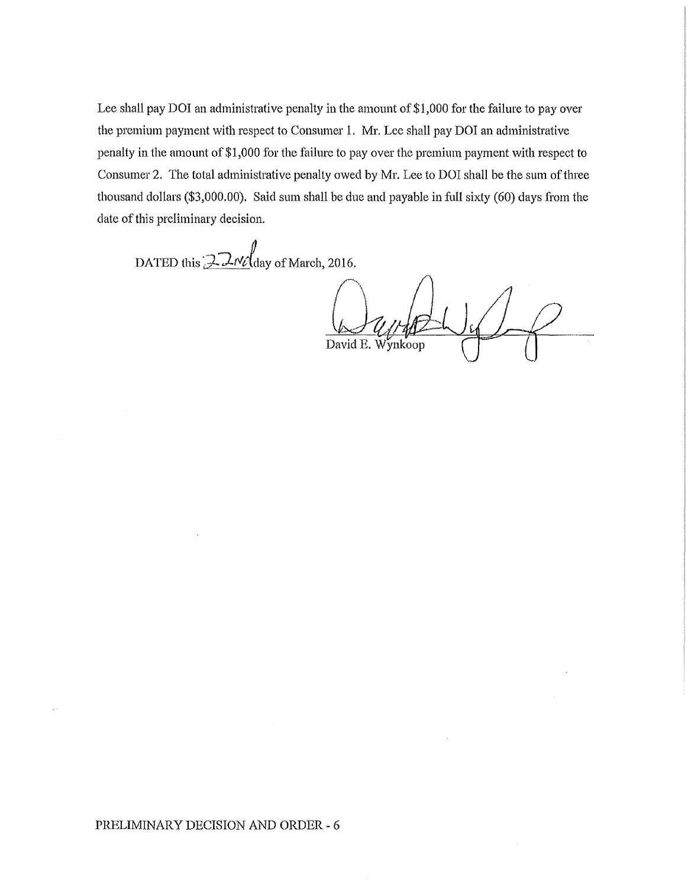Lee shall pay DOI an administrative penalty in the amount of \$1,000 for the failure to pay over the premium payment with respect to Consumer 1. Mr. Lee shall pay DOI an administrative penalty in the amount of \$1,000 for the failure to pay over the premium payment with respect to Consumer 2. The total administrative penalty owed by Mr. Lee to DOI shall be the sum of three thousand dollars (\$3,000.00). Said sum shall be due and payable in full sixty (60) days from the date of this preliminary decision.

DATED this  $2\pi\%$  day of March, 2016.

David E. Wynkoop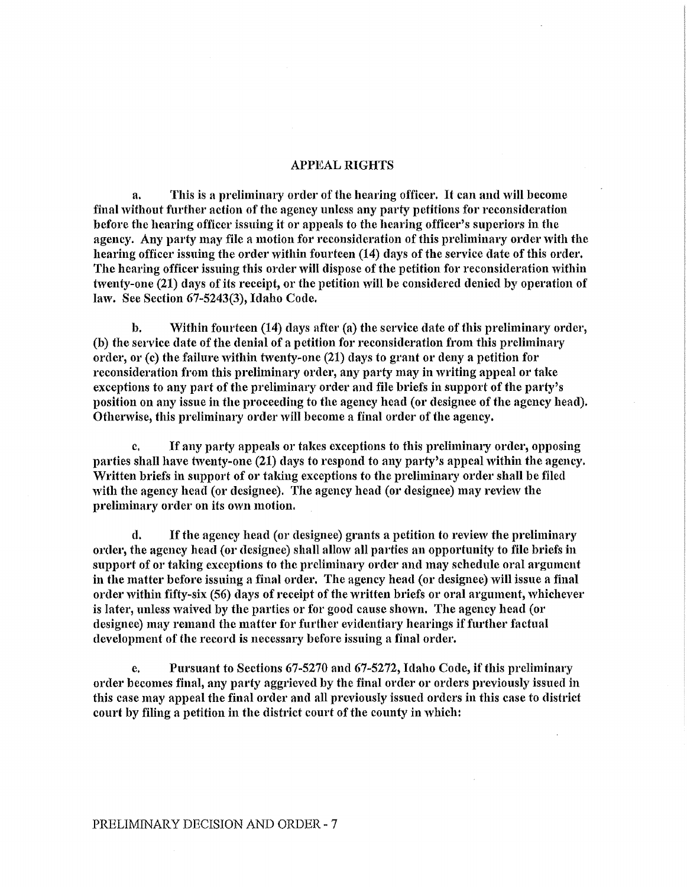#### APPEAL RIGHTS

a. Tllis is a preliminary order of the bearing officer. It can and will become final without further action of the agency unless any party petitions for reconsideration before the hearing officer issuing it or appeals to the hearing officer's superiors in the agency. Any party may file a motion for reconsideration of this preliminary order with the hearing officer issuing the order within fourteen (14) days of the service date of this order. The hearing officer issuing this order will dispose of the petition for reconsideration within twenty-one (21) days of its receipt, or the petition will be considered denied by operation of law. See Section 67-5243(3), Idaho Code.

b. Within fourteen (14) days after (a) the service date of this preliminary order, (b) the service date of the denial of a petition for reconsideration from this preliminary order, or (c) the failure within twenty-one (21) days to grant or deny a petition for reconsideration from tbis preliminary order, any party may in writing appeal or take exceptions to any part of the preliminary order and file briefs in support of the party's position on any issue in the proceeding to the agency head (or designee of the agency head). Otherwise, this preliminary order will become a final order of the agency.

c, If any party appeals or takes exceptions to this preliminary order, opposing parties shall have twenty-one (21) days to respond to any party's appeal within the agency. Written briefs in support of or taking exceptions to the preliminary order shall be filed with the agency head (or designee). The agency head (or designee) may review the preliminary order on its own motion.

d. If the agency head (or designee) grants a petition to review the preliminary order, the agency head (or designee) shall allow all parties an opportunity to file briefs in support of or faking exceptions to the preliminary order and may schedule oral argument in the matter before issuing a final order. The agency head (or designee) will issue a final order within fifty-six (56) days of receipt of the written briefs or oral argument, whichever is later, unless waived by the parties or for good cause shown. The agency head (or designee) may remand the matter for further eviclentiary hearings if further factual development of the record is necessary before issuing a final order.

e. Pursuant to Sections 67-5270 and 67-5272, Idaho Code, if this preliminary order becomes final, any party aggrieved by the final order or orders previously issued in this case may appeal the final order and all previously issued orders in this case to district court by filing a petition in the district court of the county in which: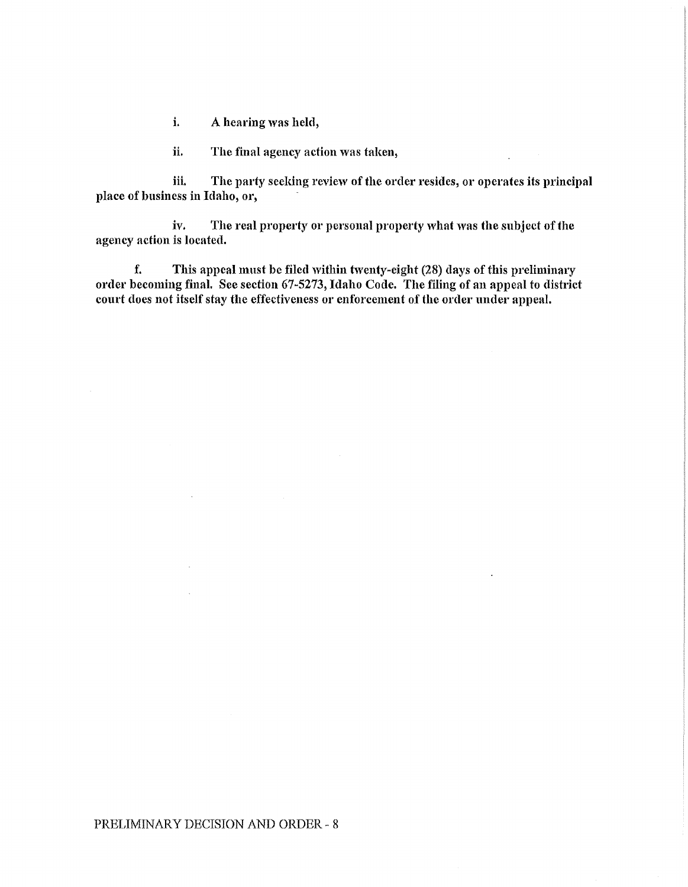i. A hearing was held,

ii. The final agency action was taken,

iii. The party seeking review of the order resides, or operates its principal place of business in Idaho, or,

iv. The real property or personal property what was the subject of the agency action is located.

f. This appeal must be filed within twenty-eight  $(28)$  days of this preliminary order becoming final. See section 67-5273, Idaho Code. The filing of an appeal to district court does not itself stay the effectiveness or enforcement of the order under appeal.

 $\ddot{\phantom{a}}$ 

 $\ddot{\phantom{a}}$